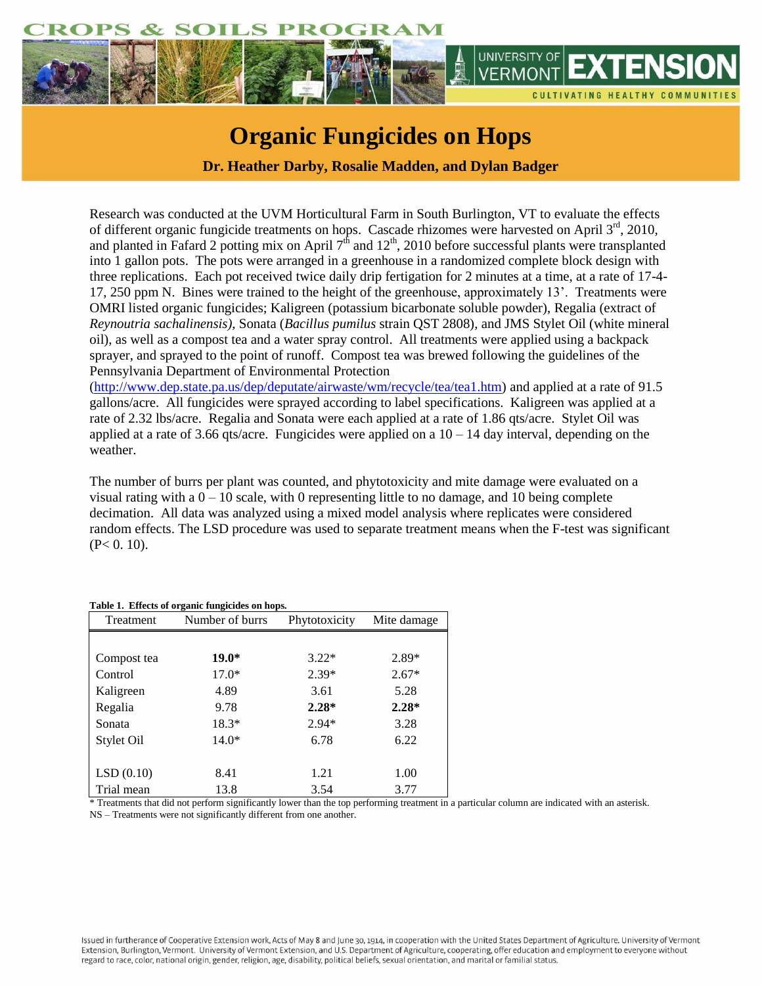

## **Organic Fungicides on Hops**

**Dr. Heather Darby, Rosalie Madden, and Dylan Badger**

Research was conducted at the UVM Horticultural Farm in South Burlington, VT to evaluate the effects of different organic fungicide treatments on hops. Cascade rhizomes were harvested on April 3<sup>rd</sup>, 2010, and planted in Fafard 2 potting mix on April  $7<sup>th</sup>$  and  $12<sup>th</sup>$ , 2010 before successful plants were transplanted into 1 gallon pots. The pots were arranged in a greenhouse in a randomized complete block design with three replications. Each pot received twice daily drip fertigation for 2 minutes at a time, at a rate of 17-4- 17, 250 ppm N. Bines were trained to the height of the greenhouse, approximately 13'. Treatments were OMRI listed organic fungicides; Kaligreen (potassium bicarbonate soluble powder), Regalia (extract of *Reynoutria sachalinensis),* Sonata (*Bacillus pumilus* strain QST 2808), and JMS Stylet Oil (white mineral oil), as well as a compost tea and a water spray control. All treatments were applied using a backpack sprayer, and sprayed to the point of runoff. Compost tea was brewed following the guidelines of the Pennsylvania Department of Environmental Protection

[\(http://www.dep.state.pa.us/dep/deputate/airwaste/wm/recycle/tea/tea1.htm\)](http://www.dep.state.pa.us/dep/deputate/airwaste/wm/recycle/tea/tea1.htm) and applied at a rate of 91.5 gallons/acre. All fungicides were sprayed according to label specifications. Kaligreen was applied at a rate of 2.32 lbs/acre. Regalia and Sonata were each applied at a rate of 1.86 qts/acre. Stylet Oil was applied at a rate of 3.66 qts/acre. Fungicides were applied on a  $10 - 14$  day interval, depending on the weather.

The number of burrs per plant was counted, and phytotoxicity and mite damage were evaluated on a visual rating with a  $0 - 10$  scale, with 0 representing little to no damage, and 10 being complete decimation. All data was analyzed using a mixed model analysis where replicates were considered random effects. The LSD procedure was used to separate treatment means when the F-test was significant  $(P< 0.10)$ .

| Treatment   | Number of burrs | Phytotoxicity | Mite damage |
|-------------|-----------------|---------------|-------------|
|             |                 |               |             |
| Compost tea | $19.0*$         | $3.22*$       | $2.89*$     |
| Control     | $17.0*$         | $2.39*$       | $2.67*$     |
| Kaligreen   | 4.89            | 3.61          | 5.28        |
| Regalia     | 9.78            | $2.28*$       | $2.28*$     |
| Sonata      | $18.3*$         | $2.94*$       | 3.28        |
| Stylet Oil  | $14.0*$         | 6.78          | 6.22        |
|             |                 |               |             |
| LSD(0.10)   | 8.41            | 1.21          | 1.00        |
| Trial mean  | 13.8            | 3.54          | 3.77        |

**Table 1. Effects of organic fungicides on hops.**

\* Treatments that did not perform significantly lower than the top performing treatment in a particular column are indicated with an asterisk. NS – Treatments were not significantly different from one another.

Issued in furtherance of Cooperative Extension work, Acts of May 8 and June 30, 1914, in cooperation with the United States Department of Agriculture. University of Vermont Extension, Burlington, Vermont. University of Vermont Extension, and U.S. Department of Agriculture, cooperating, offer education and employment to everyone without regard to race, color, national origin, gender, religion, age, disability, political beliefs, sexual orientation, and marital or familial status.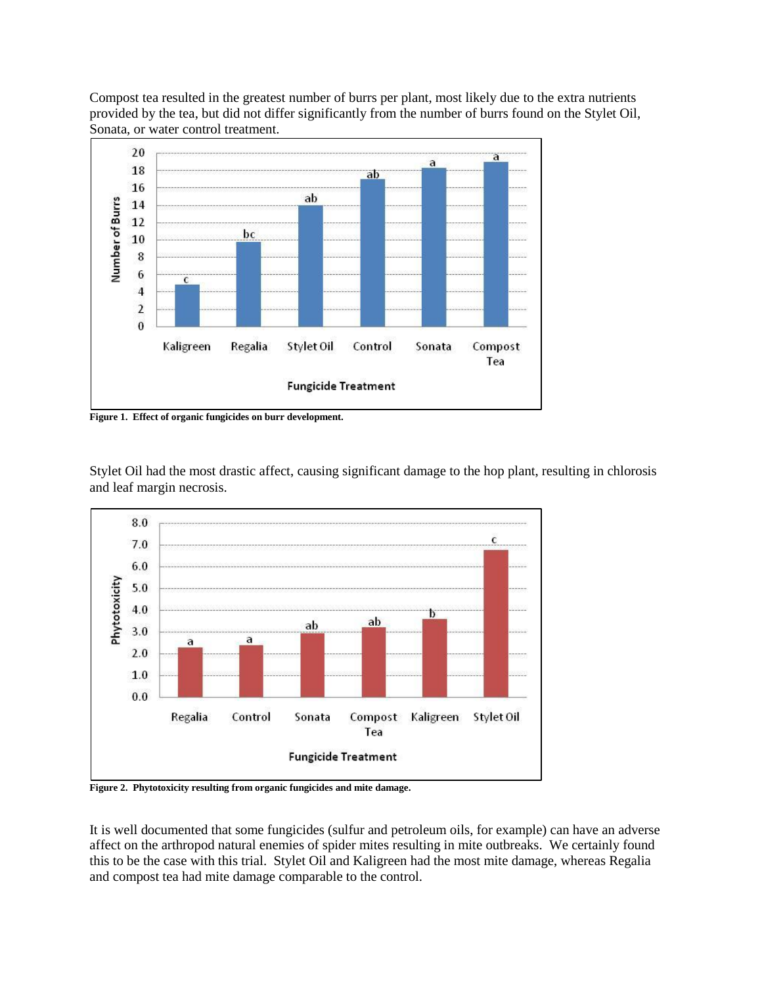Compost tea resulted in the greatest number of burrs per plant, most likely due to the extra nutrients provided by the tea, but did not differ significantly from the number of burrs found on the Stylet Oil, Sonata, or water control treatment.



**Figure 1. Effect of organic fungicides on burr development.**



Stylet Oil had the most drastic affect, causing significant damage to the hop plant, resulting in chlorosis and leaf margin necrosis.

**Figure 2. Phytotoxicity resulting from organic fungicides and mite damage.**

It is well documented that some fungicides (sulfur and petroleum oils, for example) can have an adverse affect on the arthropod natural enemies of spider mites resulting in mite outbreaks. We certainly found this to be the case with this trial. Stylet Oil and Kaligreen had the most mite damage, whereas Regalia and compost tea had mite damage comparable to the control.